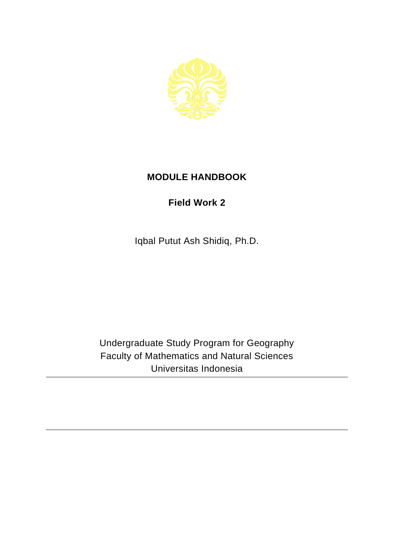

## **MODULE HANDBOOK**

## **Field Work 2**

Iqbal Putut Ash Shidiq, Ph.D.

Undergraduate Study Program for Geography Faculty of Mathematics and Natural Sciences Universitas Indonesia